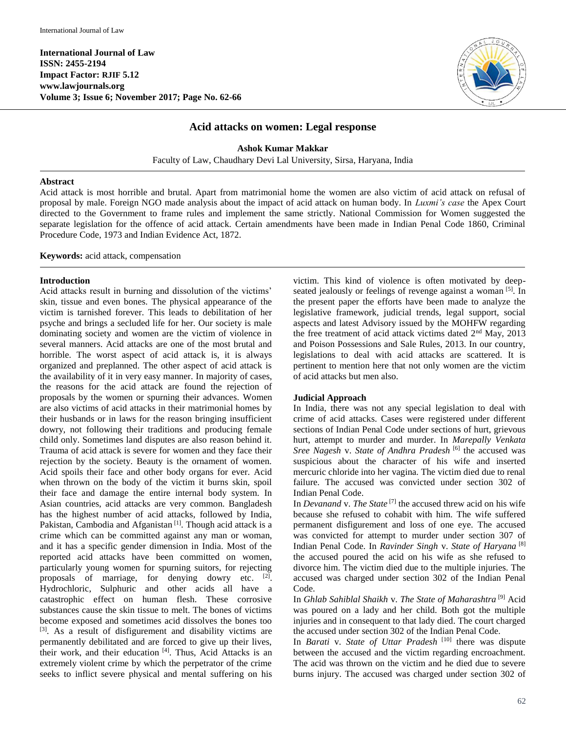**International Journal of Law ISSN: 2455-2194 Impact Factor: RJIF 5.12 www.lawjournals.org Volume 3; Issue 6; November 2017; Page No. 62-66**



# **Acid attacks on women: Legal response**

**Ashok Kumar Makkar**

Faculty of Law, Chaudhary Devi Lal University, Sirsa, Haryana, India

### **Abstract**

Acid attack is most horrible and brutal. Apart from matrimonial home the women are also victim of acid attack on refusal of proposal by male. Foreign NGO made analysis about the impact of acid attack on human body. In *Luxmi's case* the Apex Court directed to the Government to frame rules and implement the same strictly. National Commission for Women suggested the separate legislation for the offence of acid attack. Certain amendments have been made in Indian Penal Code 1860, Criminal Procedure Code, 1973 and Indian Evidence Act, 1872.

**Keywords:** acid attack, compensation

### **Introduction**

Acid attacks result in burning and dissolution of the victims' skin, tissue and even bones. The physical appearance of the victim is tarnished forever. This leads to debilitation of her psyche and brings a secluded life for her. Our society is male dominating society and women are the victim of violence in several manners. Acid attacks are one of the most brutal and horrible. The worst aspect of acid attack is, it is always organized and preplanned. The other aspect of acid attack is the availability of it in very easy manner. In majority of cases, the reasons for the acid attack are found the rejection of proposals by the women or spurning their advances. Women are also victims of acid attacks in their matrimonial homes by their husbands or in laws for the reason bringing insufficient dowry, not following their traditions and producing female child only. Sometimes land disputes are also reason behind it. Trauma of acid attack is severe for women and they face their rejection by the society. Beauty is the ornament of women. Acid spoils their face and other body organs for ever. Acid when thrown on the body of the victim it burns skin, spoil their face and damage the entire internal body system. In Asian countries, acid attacks are very common. Bangladesh has the highest number of acid attacks, followed by India, Pakistan, Cambodia and Afganistan<sup>[1]</sup>. Though acid attack is a crime which can be committed against any man or woman, and it has a specific gender dimension in India. Most of the reported acid attacks have been committed on women, particularly young women for spurning suitors, for rejecting proposals of marriage, for denying dowry etc.  $[2]$ . Hydrochloric, Sulphuric and other acids all have a catastrophic effect on human flesh. These corrosive substances cause the skin tissue to melt. The bones of victims become exposed and sometimes acid dissolves the bones too [3]. As a result of disfigurement and disability victims are permanently debilitated and are forced to give up their lives, their work, and their education [4]. Thus, Acid Attacks is an extremely violent crime by which the perpetrator of the crime seeks to inflict severe physical and mental suffering on his

victim. This kind of violence is often motivated by deepseated jealously or feelings of revenge against a woman [5]. In the present paper the efforts have been made to analyze the legislative framework, judicial trends, legal support, social aspects and latest Advisory issued by the MOHFW regarding the free treatment of acid attack victims dated 2nd May, 2013 and Poison Possessions and Sale Rules, 2013. In our country, legislations to deal with acid attacks are scattered. It is pertinent to mention here that not only women are the victim of acid attacks but men also.

## **Judicial Approach**

In India, there was not any special legislation to deal with crime of acid attacks. Cases were registered under different sections of Indian Penal Code under sections of hurt, grievous hurt, attempt to murder and murder. In *Marepally Venkata Sree Nagesh* v. *State of Andhra Pradesh* [6] the accused was suspicious about the character of his wife and inserted mercuric chloride into her vagina. The victim died due to renal failure. The accused was convicted under section 302 of Indian Penal Code.

In *Devanand* v. *The State* <sup>[7]</sup> the accused threw acid on his wife because she refused to cohabit with him. The wife suffered permanent disfigurement and loss of one eye. The accused was convicted for attempt to murder under section 307 of Indian Penal Code. In *Ravinder Singh* v. *State of Haryana* [8] the accused poured the acid on his wife as she refused to divorce him. The victim died due to the multiple injuries. The accused was charged under section 302 of the Indian Penal Code.

In *Ghlab Sahiblal Shaikh* v. *The State of Maharashtra* [9] Acid was poured on a lady and her child. Both got the multiple injuries and in consequent to that lady died. The court charged the accused under section 302 of the Indian Penal Code.

In *Barati* v. *State of Uttar Pradesh* [10] there was dispute between the accused and the victim regarding encroachment. The acid was thrown on the victim and he died due to severe burns injury. The accused was charged under section 302 of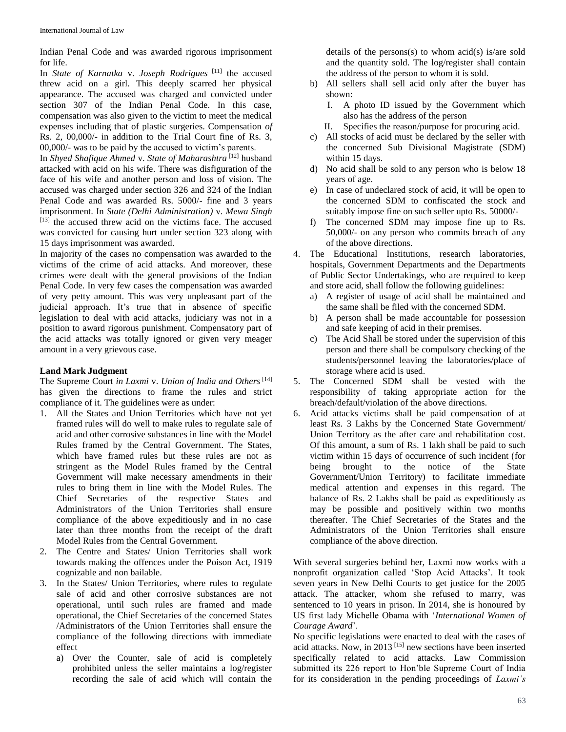Indian Penal Code and was awarded rigorous imprisonment for life.

In *State of Karnatka* v. *Joseph Rodrigues* [11] the accused threw acid on a girl. This deeply scarred her physical appearance. The accused was charged and convicted under section 307 of the Indian Penal Code. In this case, compensation was also given to the victim to meet the medical expenses including that of plastic surgeries. Compensation *of* Rs. 2, 00,000/- in addition to the Trial Court fine of Rs. 3, 00,000/- was to be paid by the accused to victim's parents.

In *Shyed Shafique Ahmed* v. *State of Maharashtra* [12] husband attacked with acid on his wife. There was disfiguration of the face of his wife and another person and loss of vision. The accused was charged under section 326 and 324 of the Indian Penal Code and was awarded Rs. 5000/- fine and 3 years imprisonment. In *State (Delhi Administration)* v. *Mewa Singh*  $[13]$  the accused threw acid on the victims face. The accused was convicted for causing hurt under section 323 along with 15 days imprisonment was awarded.

In majority of the cases no compensation was awarded to the victims of the crime of acid attacks. And moreover, these crimes were dealt with the general provisions of the Indian Penal Code. In very few cases the compensation was awarded of very petty amount. This was very unpleasant part of the judicial approach. It's true that in absence of specific legislation to deal with acid attacks, judiciary was not in a position to award rigorous punishment. Compensatory part of the acid attacks was totally ignored or given very meager amount in a very grievous case.

## **Land Mark Judgment**

The Supreme Court *in Laxmi* v. *Union of India and Others* [14] has given the directions to frame the rules and strict compliance of it. The guidelines were as under:

- 1. All the States and Union Territories which have not yet framed rules will do well to make rules to regulate sale of acid and other corrosive substances in line with the Model Rules framed by the Central Government. The States, which have framed rules but these rules are not as stringent as the Model Rules framed by the Central Government will make necessary amendments in their rules to bring them in line with the Model Rules. The Chief Secretaries of the respective States and Administrators of the Union Territories shall ensure compliance of the above expeditiously and in no case later than three months from the receipt of the draft Model Rules from the Central Government.
- 2. The Centre and States/ Union Territories shall work towards making the offences under the Poison Act, 1919 cognizable and non bailable.
- 3. In the States/ Union Territories, where rules to regulate sale of acid and other corrosive substances are not operational, until such rules are framed and made operational, the Chief Secretaries of the concerned States /Administrators of the Union Territories shall ensure the compliance of the following directions with immediate effect
	- a) Over the Counter, sale of acid is completely prohibited unless the seller maintains a log/register recording the sale of acid which will contain the

details of the persons(s) to whom acid(s) is/are sold and the quantity sold. The log/register shall contain the address of the person to whom it is sold.

- b) All sellers shall sell acid only after the buyer has shown:
	- I. A photo ID issued by the Government which also has the address of the person
	- II. Specifies the reason/purpose for procuring acid.
- c) All stocks of acid must be declared by the seller with the concerned Sub Divisional Magistrate (SDM) within 15 days.
- d) No acid shall be sold to any person who is below 18 years of age.
- e) In case of undeclared stock of acid, it will be open to the concerned SDM to confiscated the stock and suitably impose fine on such seller upto Rs. 50000/-
- f) The concerned SDM may impose fine up to Rs. 50,000/- on any person who commits breach of any of the above directions.
- 4. The Educational Institutions, research laboratories, hospitals, Government Departments and the Departments of Public Sector Undertakings, who are required to keep and store acid, shall follow the following guidelines:
	- a) A register of usage of acid shall be maintained and the same shall be filed with the concerned SDM.
	- b) A person shall be made accountable for possession and safe keeping of acid in their premises.
	- c) The Acid Shall be stored under the supervision of this person and there shall be compulsory checking of the students/personnel leaving the laboratories/place of storage where acid is used.
- 5. The Concerned SDM shall be vested with the responsibility of taking appropriate action for the breach/default/violation of the above directions.
- 6. Acid attacks victims shall be paid compensation of at least Rs. 3 Lakhs by the Concerned State Government/ Union Territory as the after care and rehabilitation cost. Of this amount, a sum of Rs. 1 lakh shall be paid to such victim within 15 days of occurrence of such incident (for being brought to the notice of the State Government/Union Territory) to facilitate immediate medical attention and expenses in this regard. The balance of Rs. 2 Lakhs shall be paid as expeditiously as may be possible and positively within two months thereafter. The Chief Secretaries of the States and the Administrators of the Union Territories shall ensure compliance of the above direction.

With several surgeries behind her, Laxmi now works with a nonprofit organization called 'Stop Acid Attacks'. It took seven years in New Delhi Courts to get justice for the 2005 attack. The attacker, whom she refused to marry, was sentenced to 10 years in prison. In 2014, she is honoured by US first lady Michelle Obama with '*International Women of Courage Award*'.

No specific legislations were enacted to deal with the cases of acid attacks. Now, in 2013 [15] new sections have been inserted specifically related to acid attacks. Law Commission submitted its 226 report to Hon'ble Supreme Court of India for its consideration in the pending proceedings of *Laxmi's*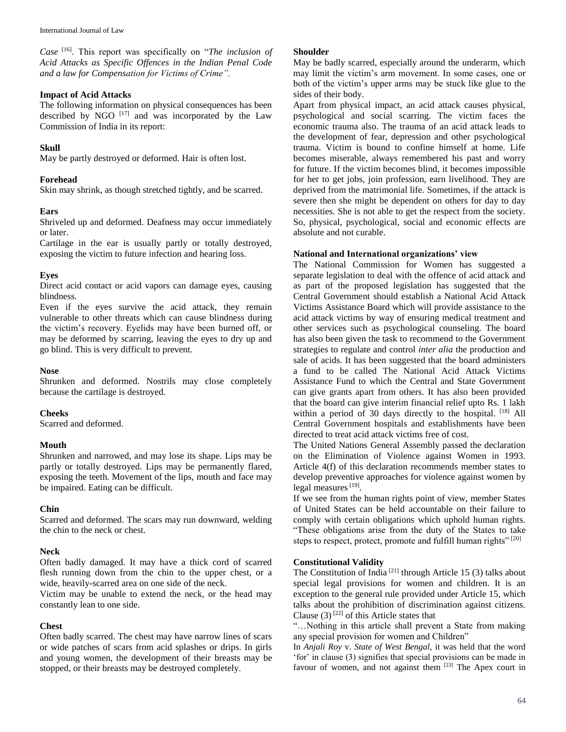*Case* [16]. This report was specifically on "*The inclusion of Acid Attacks as Specific Offences in the Indian Penal Code and a law for Compensation for Victims of Crime".*

### **Impact of Acid Attacks**

The following information on physical consequences has been described by NGO  $[17]$  and was incorporated by the Law Commission of India in its report:

## **Skull**

May be partly destroyed or deformed. Hair is often lost.

## **Forehead**

Skin may shrink, as though stretched tightly, and be scarred.

## **Ears**

Shriveled up and deformed. Deafness may occur immediately or later.

Cartilage in the ear is usually partly or totally destroyed, exposing the victim to future infection and hearing loss.

## **Eyes**

Direct acid contact or acid vapors can damage eyes, causing blindness.

Even if the eyes survive the acid attack, they remain vulnerable to other threats which can cause blindness during the victim's recovery. Eyelids may have been burned off, or may be deformed by scarring, leaving the eyes to dry up and go blind. This is very difficult to prevent.

### **Nose**

Shrunken and deformed. Nostrils may close completely because the cartilage is destroyed.

#### **Cheeks**

Scarred and deformed.

## **Mouth**

Shrunken and narrowed, and may lose its shape. Lips may be partly or totally destroyed. Lips may be permanently flared, exposing the teeth. Movement of the lips, mouth and face may be impaired. Eating can be difficult.

#### **Chin**

Scarred and deformed. The scars may run downward, welding the chin to the neck or chest.

## **Neck**

Often badly damaged. It may have a thick cord of scarred flesh running down from the chin to the upper chest, or a wide, heavily-scarred area on one side of the neck.

Victim may be unable to extend the neck, or the head may constantly lean to one side.

## **Chest**

Often badly scarred. The chest may have narrow lines of scars or wide patches of scars from acid splashes or drips. In girls and young women, the development of their breasts may be stopped, or their breasts may be destroyed completely.

## **Shoulder**

May be badly scarred, especially around the underarm, which may limit the victim's arm movement. In some cases, one or both of the victim's upper arms may be stuck like glue to the sides of their body.

Apart from physical impact, an acid attack causes physical, psychological and social scarring. The victim faces the economic trauma also. The trauma of an acid attack leads to the development of fear, depression and other psychological trauma. Victim is bound to confine himself at home. Life becomes miserable, always remembered his past and worry for future. If the victim becomes blind, it becomes impossible for her to get jobs, join profession, earn livelihood. They are deprived from the matrimonial life. Sometimes, if the attack is severe then she might be dependent on others for day to day necessities. She is not able to get the respect from the society. So, physical, psychological, social and economic effects are absolute and not curable.

## **National and International organizations' view**

The National Commission for Women has suggested a separate legislation to deal with the offence of acid attack and as part of the proposed legislation has suggested that the Central Government should establish a National Acid Attack Victims Assistance Board which will provide assistance to the acid attack victims by way of ensuring medical treatment and other services such as psychological counseling. The board has also been given the task to recommend to the Government strategies to regulate and control *inter alia* the production and sale of acids. It has been suggested that the board administers a fund to be called The National Acid Attack Victims Assistance Fund to which the Central and State Government can give grants apart from others. It has also been provided that the board can give interim financial relief upto Rs. 1 lakh within a period of 30 days directly to the hospital. [18] All Central Government hospitals and establishments have been directed to treat acid attack victims free of cost.

The United Nations General Assembly passed the declaration on the Elimination of Violence against Women in 1993. Article 4(f) of this declaration recommends member states to develop preventive approaches for violence against women by legal measures<sup>[19]</sup>.

If we see from the human rights point of view, member States of United States can be held accountable on their failure to comply with certain obligations which uphold human rights. "These obligations arise from the duty of the States to take steps to respect, protect, promote and fulfill human rights" [20]

#### **Constitutional Validity**

The Constitution of India<sup>[21]</sup> through Article 15 (3) talks about special legal provisions for women and children. It is an exception to the general rule provided under Article 15, which talks about the prohibition of discrimination against citizens. Clause  $(3)$ <sup>[22]</sup> of this Article states that

"…Nothing in this article shall prevent a State from making any special provision for women and Children"

In *Anjali Roy* v. *State of West Bengal,* it was held that the word 'for' in clause (3) signifies that special provisions can be made in favour of women, and not against them [23] The Apex court in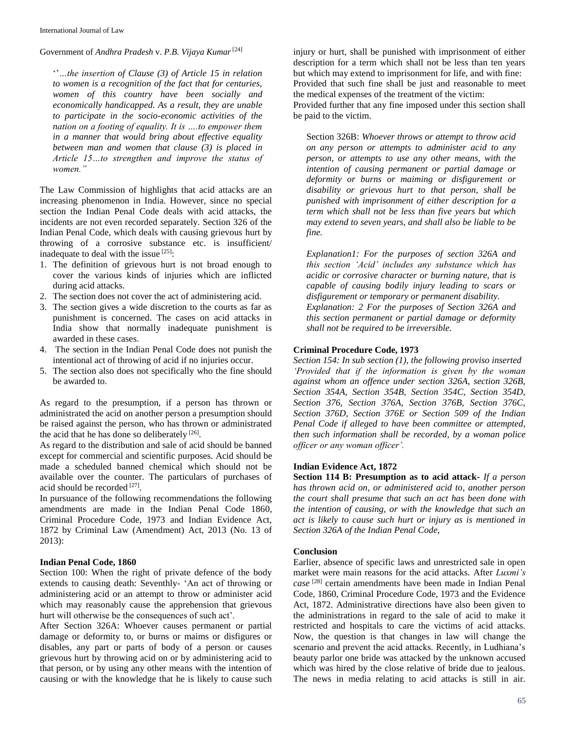International Journal of Law

Government of *Andhra Pradesh* v. *P.B. Vijaya Kumar*[24]

''*…the insertion of Clause (3) of Article 15 in relation to women is a recognition of the fact that for centuries, women of this country have been socially and economically handicapped. As a result, they are unable to participate in the socio-economic activities of the nation on a footing of equality. It is ….to empower them in a manner that would bring about effective equality between man and women that clause (3) is placed in Article 15…to strengthen and improve the status of women."*

The Law Commission of highlights that acid attacks are an increasing phenomenon in India. However, since no special section the Indian Penal Code deals with acid attacks, the incidents are not even recorded separately. Section 326 of the Indian Penal Code, which deals with causing grievous hurt by throwing of a corrosive substance etc. is insufficient/ inadequate to deal with the issue [25]:

- 1. The definition of grievous hurt is not broad enough to cover the various kinds of injuries which are inflicted during acid attacks.
- 2. The section does not cover the act of administering acid.
- 3. The section gives a wide discretion to the courts as far as punishment is concerned. The cases on acid attacks in India show that normally inadequate punishment is awarded in these cases.
- 4. The section in the Indian Penal Code does not punish the intentional act of throwing of acid if no injuries occur.
- 5. The section also does not specifically who the fine should be awarded to.

As regard to the presumption, if a person has thrown or administrated the acid on another person a presumption should be raised against the person, who has thrown or administrated the acid that he has done so deliberately  $[26]$ .

As regard to the distribution and sale of acid should be banned except for commercial and scientific purposes. Acid should be made a scheduled banned chemical which should not be available over the counter. The particulars of purchases of acid should be recorded [27].

In pursuance of the following recommendations the following amendments are made in the Indian Penal Code 1860, Criminal Procedure Code, 1973 and Indian Evidence Act, 1872 by Criminal Law (Amendment) Act, 2013 (No. 13 of 2013):

#### **Indian Penal Code, 1860**

Section 100: When the right of private defence of the body extends to causing death: Seventhly- 'An act of throwing or administering acid or an attempt to throw or administer acid which may reasonably cause the apprehension that grievous hurt will otherwise be the consequences of such act'.

After Section 326A: Whoever causes permanent or partial damage or deformity to, or burns or maims or disfigures or disables, any part or parts of body of a person or causes grievous hurt by throwing acid on or by administering acid to that person, or by using any other means with the intention of causing or with the knowledge that he is likely to cause such injury or hurt, shall be punished with imprisonment of either description for a term which shall not be less than ten years but which may extend to imprisonment for life, and with fine: Provided that such fine shall be just and reasonable to meet the medical expenses of the treatment of the victim: Provided further that any fine imposed under this section shall be paid to the victim.

Section 326B: *Whoever throws or attempt to throw acid on any person or attempts to administer acid to any person, or attempts to use any other means, with the intention of causing permanent or partial damage or deformity or burns or maiming or disfigurement or disability or grievous hurt to that person, shall be punished with imprisonment of either description for a term which shall not be less than five years but which may extend to seven years, and shall also be liable to be fine.*

*Explanation1: For the purposes of section 326A and this section 'Acid' includes any substance which has acidic or corrosive character or burning nature, that is capable of causing bodily injury leading to scars or disfigurement or temporary or permanent disability. Explanation: 2 For the purposes of Section 326A and this section permanent or partial damage or deformity shall not be required to be irreversible.*

#### **Criminal Procedure Code, 1973**

*Section 154: In sub section (1), the following proviso inserted 'Provided that if the information is given by the woman against whom an offence under section 326A, section 326B, Section 354A, Section 354B, Section 354C, Section 354D, Section 376, Section 376A, Section 376B, Section 376C, Section 376D, Section 376E or Section 509 of the Indian Penal Code if alleged to have been committee or attempted, then such information shall be recorded, by a woman police officer or any woman officer'.*

### **Indian Evidence Act, 1872**

**Section 114 B: Presumption as to acid attack-** *If a person has thrown acid on, or administered acid to, another person the court shall presume that such an act has been done with the intention of causing, or with the knowledge that such an act is likely to cause such hurt or injury as is mentioned in Section 326A of the Indian Penal Code,*

#### **Conclusion**

Earlier, absence of specific laws and unrestricted sale in open market were main reasons for the acid attacks. After *Luxmi's case* [28] certain amendments have been made in Indian Penal Code, 1860, Criminal Procedure Code, 1973 and the Evidence Act, 1872. Administrative directions have also been given to the administrations in regard to the sale of acid to make it restricted and hospitals to care the victims of acid attacks. Now, the question is that changes in law will change the scenario and prevent the acid attacks. Recently, in Ludhiana's beauty parlor one bride was attacked by the unknown accused which was hired by the close relative of bride due to jealous. The news in media relating to acid attacks is still in air.